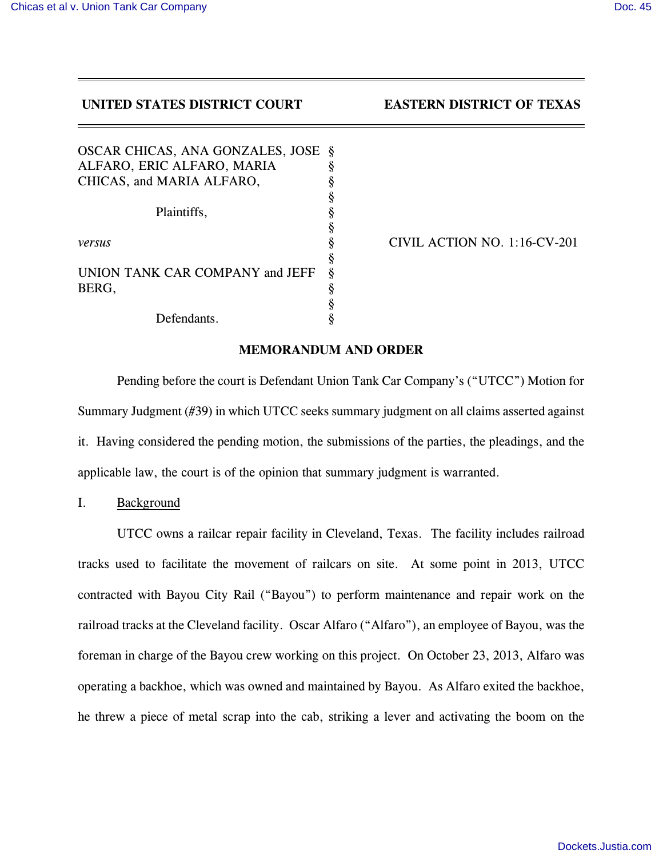**UNITED STATES DISTRICT COURT EASTERN DISTRICT OF TEXAS** 

| OSCAR CHICAS, ANA GONZALES, JOSE | Ş |
|----------------------------------|---|
| ALFARO, ERIC ALFARO, MARIA       | ş |
| CHICAS, and MARIA ALFARO,        | ş |
|                                  | § |
| Plaintiffs,                      | § |
|                                  | ş |
| versus                           | § |
|                                  | § |
| UNION TANK CAR COMPANY and JEFF  | ş |
| BERG,                            | ş |
|                                  | § |
| Defendants.                      |   |

*versus* § CIVIL ACTION NO. 1:16-CV-201

### **MEMORANDUM AND ORDER**

Pending before the court is Defendant Union Tank Car Company's ("UTCC") Motion for Summary Judgment (#39) in which UTCC seeks summary judgment on all claims asserted against it. Having considered the pending motion, the submissions of the parties, the pleadings, and the applicable law, the court is of the opinion that summary judgment is warranted.

I. Background

UTCC owns a railcar repair facility in Cleveland, Texas. The facility includes railroad tracks used to facilitate the movement of railcars on site. At some point in 2013, UTCC contracted with Bayou City Rail ("Bayou") to perform maintenance and repair work on the railroad tracks at the Cleveland facility. Oscar Alfaro ("Alfaro"), an employee of Bayou, was the foreman in charge of the Bayou crew working on this project. On October 23, 2013, Alfaro was operating a backhoe, which was owned and maintained by Bayou. As Alfaro exited the backhoe, he threw a piece of metal scrap into the cab, striking a lever and activating the boom on the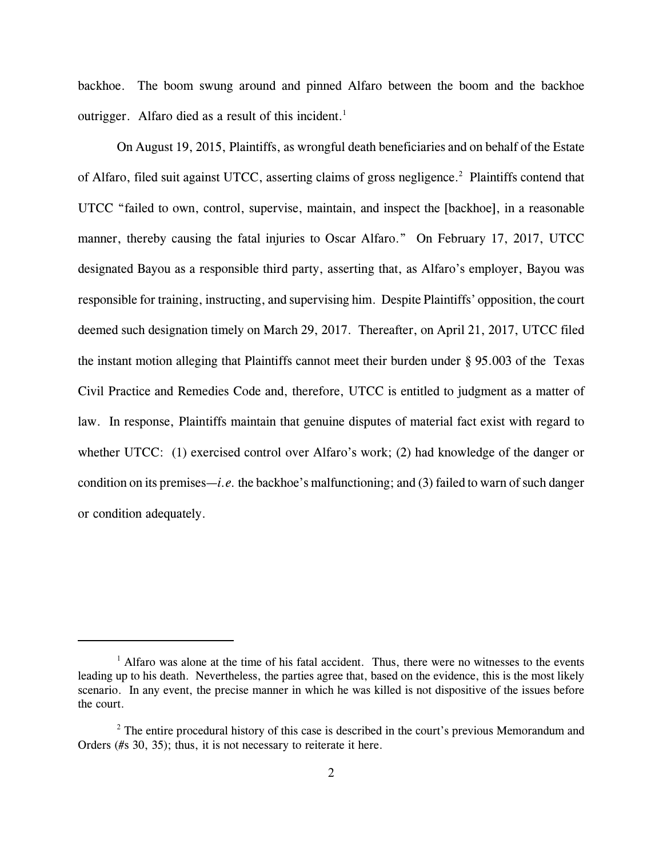backhoe. The boom swung around and pinned Alfaro between the boom and the backhoe outrigger. Alfaro died as a result of this incident.<sup>1</sup>

On August 19, 2015, Plaintiffs, as wrongful death beneficiaries and on behalf of the Estate of Alfaro, filed suit against UTCC, asserting claims of gross negligence.<sup>2</sup> Plaintiffs contend that UTCC "failed to own, control, supervise, maintain, and inspect the [backhoe], in a reasonable manner, thereby causing the fatal injuries to Oscar Alfaro." On February 17, 2017, UTCC designated Bayou as a responsible third party, asserting that, as Alfaro's employer, Bayou was responsible for training, instructing, and supervising him. Despite Plaintiffs' opposition, the court deemed such designation timely on March 29, 2017. Thereafter, on April 21, 2017, UTCC filed the instant motion alleging that Plaintiffs cannot meet their burden under § 95.003 of the Texas Civil Practice and Remedies Code and, therefore, UTCC is entitled to judgment as a matter of law. In response, Plaintiffs maintain that genuine disputes of material fact exist with regard to whether UTCC: (1) exercised control over Alfaro's work; (2) had knowledge of the danger or condition on its premises—*i.e.* the backhoe's malfunctioning; and (3) failed to warn of such danger or condition adequately.

<sup>&</sup>lt;sup>1</sup> Alfaro was alone at the time of his fatal accident. Thus, there were no witnesses to the events leading up to his death. Nevertheless, the parties agree that, based on the evidence, this is the most likely scenario. In any event, the precise manner in which he was killed is not dispositive of the issues before the court.

 $2^2$  The entire procedural history of this case is described in the court's previous Memorandum and Orders (#s 30, 35); thus, it is not necessary to reiterate it here.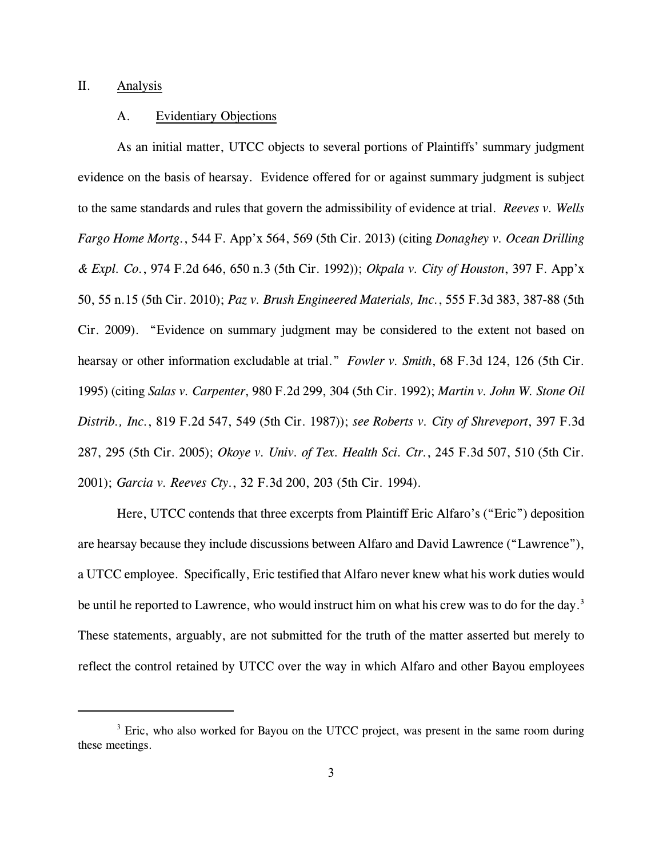## II. Analysis

### A. Evidentiary Objections

As an initial matter, UTCC objects to several portions of Plaintiffs' summary judgment evidence on the basis of hearsay. Evidence offered for or against summary judgment is subject to the same standards and rules that govern the admissibility of evidence at trial. *Reeves v. Wells Fargo Home Mortg.*, 544 F. App'x 564, 569 (5th Cir. 2013) (citing *Donaghey v. Ocean Drilling & Expl. Co.*, 974 F.2d 646, 650 n.3 (5th Cir. 1992)); *Okpala v. City of Houston*, 397 F. App'x 50, 55 n.15 (5th Cir. 2010); *Paz v. Brush Engineered Materials, Inc.*, 555 F.3d 383, 387-88 (5th Cir. 2009). "Evidence on summary judgment may be considered to the extent not based on hearsay or other information excludable at trial." *Fowler v. Smith*, 68 F.3d 124, 126 (5th Cir. 1995) (citing *Salas v. Carpenter*, 980 F.2d 299, 304 (5th Cir. 1992); *Martin v. John W. Stone Oil Distrib., Inc.*, 819 F.2d 547, 549 (5th Cir. 1987)); *see Roberts v. City of Shreveport*, 397 F.3d 287, 295 (5th Cir. 2005); *Okoye v. Univ. of Tex. Health Sci. Ctr.*, 245 F.3d 507, 510 (5th Cir. 2001); *Garcia v. Reeves Cty.*, 32 F.3d 200, 203 (5th Cir. 1994).

Here, UTCC contends that three excerpts from Plaintiff Eric Alfaro's ("Eric") deposition are hearsay because they include discussions between Alfaro and David Lawrence ("Lawrence"), a UTCC employee. Specifically, Eric testified that Alfaro never knew what his work duties would be until he reported to Lawrence, who would instruct him on what his crew was to do for the day.<sup>3</sup> These statements, arguably, are not submitted for the truth of the matter asserted but merely to reflect the control retained by UTCC over the way in which Alfaro and other Bayou employees

<sup>&</sup>lt;sup>3</sup> Eric, who also worked for Bayou on the UTCC project, was present in the same room during these meetings.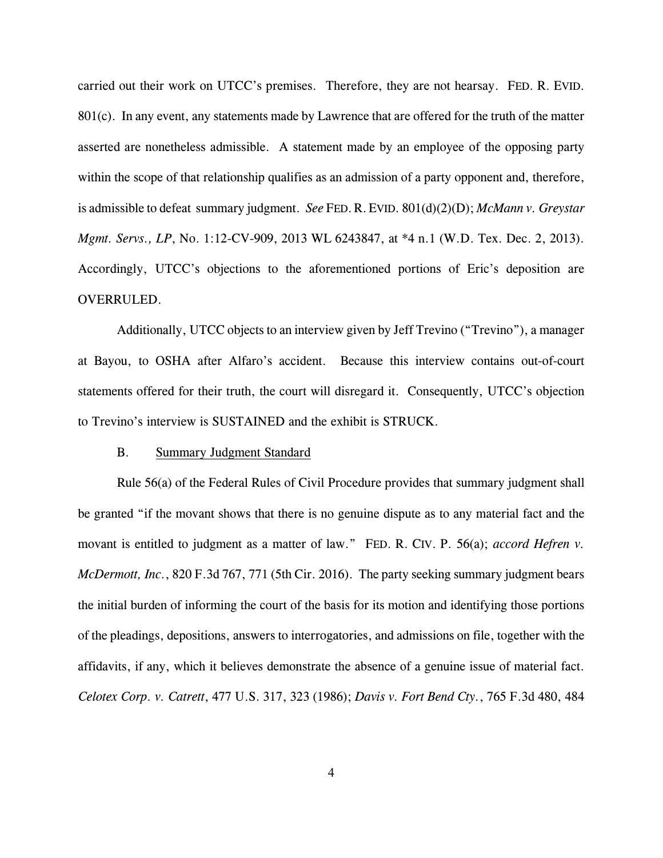carried out their work on UTCC's premises. Therefore, they are not hearsay. FED. R. EVID. 801(c). In any event, any statements made by Lawrence that are offered for the truth of the matter asserted are nonetheless admissible. A statement made by an employee of the opposing party within the scope of that relationship qualifies as an admission of a party opponent and, therefore, is admissible to defeat summary judgment. *See* FED.R.EVID. 801(d)(2)(D); *McMann v. Greystar Mgmt. Servs., LP*, No. 1:12-CV-909, 2013 WL 6243847, at \*4 n.1 (W.D. Tex. Dec. 2, 2013). Accordingly, UTCC's objections to the aforementioned portions of Eric's deposition are OVERRULED.

Additionally, UTCC objects to an interview given by Jeff Trevino ("Trevino"), a manager at Bayou, to OSHA after Alfaro's accident. Because this interview contains out-of-court statements offered for their truth, the court will disregard it. Consequently, UTCC's objection to Trevino's interview is SUSTAINED and the exhibit is STRUCK.

#### B. Summary Judgment Standard

Rule 56(a) of the Federal Rules of Civil Procedure provides that summary judgment shall be granted "if the movant shows that there is no genuine dispute as to any material fact and the movant is entitled to judgment as a matter of law." FED. R. CIV. P. 56(a); *accord Hefren v. McDermott, Inc.*, 820 F.3d 767, 771 (5th Cir. 2016). The party seeking summary judgment bears the initial burden of informing the court of the basis for its motion and identifying those portions of the pleadings, depositions, answers to interrogatories, and admissions on file, together with the affidavits, if any, which it believes demonstrate the absence of a genuine issue of material fact. *Celotex Corp. v. Catrett*, 477 U.S. 317, 323 (1986); *Davis v. Fort Bend Cty.*, 765 F.3d 480, 484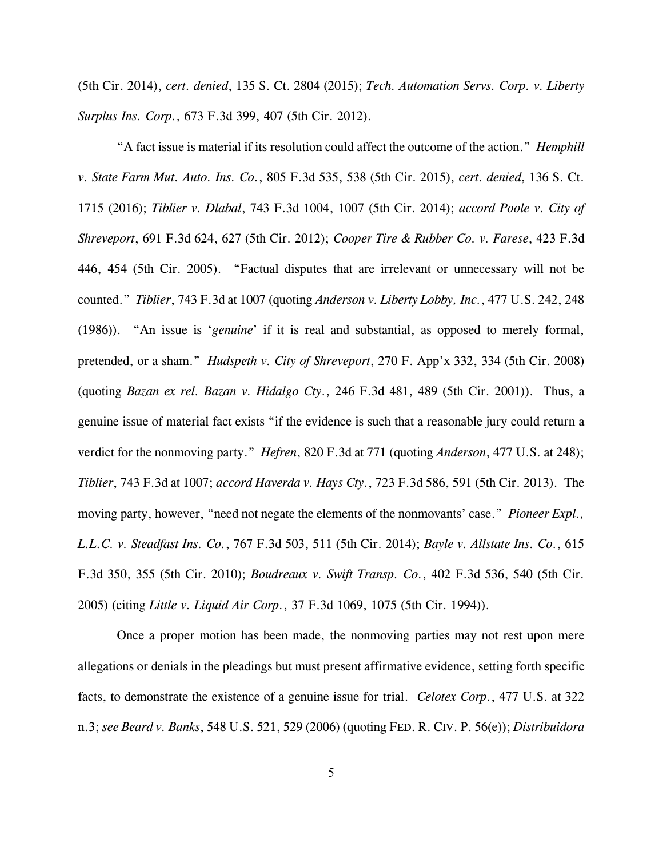(5th Cir. 2014), *cert. denied*, 135 S. Ct. 2804 (2015); *Tech. Automation Servs. Corp. v. Liberty Surplus Ins. Corp.*, 673 F.3d 399, 407 (5th Cir. 2012).

"A fact issue is material if its resolution could affect the outcome of the action." *Hemphill v. State Farm Mut. Auto. Ins. Co.*, 805 F.3d 535, 538 (5th Cir. 2015), *cert. denied*, 136 S. Ct. 1715 (2016); *Tiblier v. Dlabal*, 743 F.3d 1004, 1007 (5th Cir. 2014); *accord Poole v. City of Shreveport*, 691 F.3d 624, 627 (5th Cir. 2012); *Cooper Tire & Rubber Co. v. Farese*, 423 F.3d 446, 454 (5th Cir. 2005). "Factual disputes that are irrelevant or unnecessary will not be counted." *Tiblier*, 743 F.3d at 1007 (quoting *Anderson v. Liberty Lobby, Inc.*, 477 U.S. 242, 248 (1986)). "An issue is '*genuine*' if it is real and substantial, as opposed to merely formal, pretended, or a sham." *Hudspeth v. City of Shreveport*, 270 F. App'x 332, 334 (5th Cir. 2008) (quoting *Bazan ex rel. Bazan v. Hidalgo Cty.*, 246 F.3d 481, 489 (5th Cir. 2001)). Thus, a genuine issue of material fact exists "if the evidence is such that a reasonable jury could return a verdict for the nonmoving party." *Hefren*, 820 F.3d at 771 (quoting *Anderson*, 477 U.S. at 248); *Tiblier*, 743 F.3d at 1007; *accord Haverda v. Hays Cty.*, 723 F.3d 586, 591 (5th Cir. 2013). The moving party, however, "need not negate the elements of the nonmovants' case." *Pioneer Expl., L.L.C. v. Steadfast Ins. Co.*, 767 F.3d 503, 511 (5th Cir. 2014); *Bayle v. Allstate Ins. Co.*, 615 F.3d 350, 355 (5th Cir. 2010); *Boudreaux v. Swift Transp. Co.*, 402 F.3d 536, 540 (5th Cir. 2005) (citing *Little v. Liquid Air Corp.*, 37 F.3d 1069, 1075 (5th Cir. 1994)).

Once a proper motion has been made, the nonmoving parties may not rest upon mere allegations or denials in the pleadings but must present affirmative evidence, setting forth specific facts, to demonstrate the existence of a genuine issue for trial. *Celotex Corp.*, 477 U.S. at 322 n.3; *see Beard v. Banks*, 548 U.S. 521, 529 (2006) (quoting FED. R. CIV. P. 56(e)); *Distribuidora*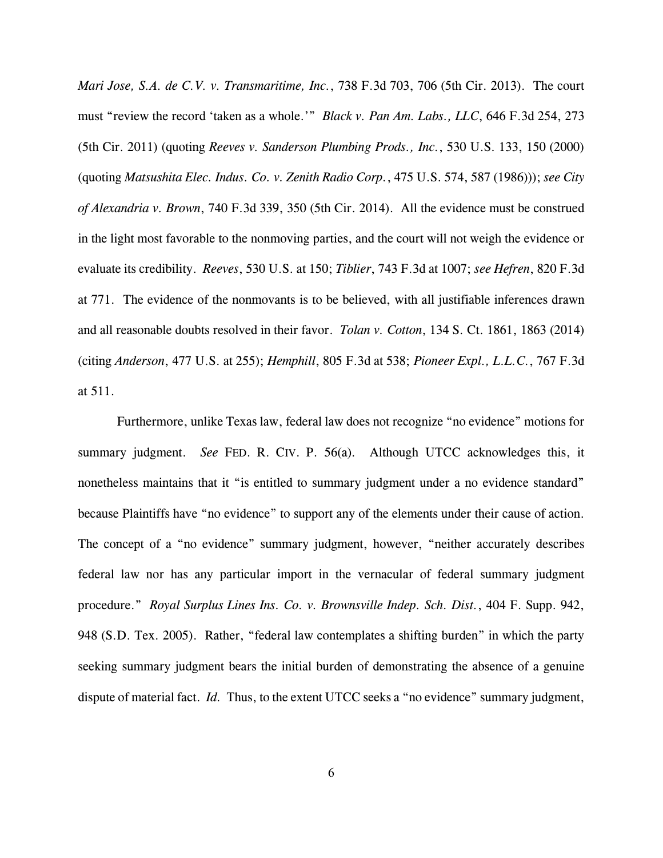*Mari Jose, S.A. de C.V. v. Transmaritime, Inc.*, 738 F.3d 703, 706 (5th Cir. 2013). The court must "review the record 'taken as a whole.'" *Black v. Pan Am. Labs., LLC*, 646 F.3d 254, 273 (5th Cir. 2011) (quoting *Reeves v. Sanderson Plumbing Prods., Inc.*, 530 U.S. 133, 150 (2000) (quoting *Matsushita Elec. Indus. Co. v. Zenith Radio Corp.*, 475 U.S. 574, 587 (1986))); *see City of Alexandria v. Brown*, 740 F.3d 339, 350 (5th Cir. 2014). All the evidence must be construed in the light most favorable to the nonmoving parties, and the court will not weigh the evidence or evaluate its credibility. *Reeves*, 530 U.S. at 150; *Tiblier*, 743 F.3d at 1007; *see Hefren*, 820 F.3d at 771. The evidence of the nonmovants is to be believed, with all justifiable inferences drawn and all reasonable doubts resolved in their favor. *Tolan v. Cotton*, 134 S. Ct. 1861, 1863 (2014) (citing *Anderson*, 477 U.S. at 255); *Hemphill*, 805 F.3d at 538; *Pioneer Expl., L.L.C.*, 767 F.3d at 511.

Furthermore, unlike Texas law, federal law does not recognize "no evidence" motions for summary judgment. *See* FED. R. CIV. P. 56(a)*.* Although UTCC acknowledges this, it nonetheless maintains that it "is entitled to summary judgment under a no evidence standard" because Plaintiffs have "no evidence" to support any of the elements under their cause of action. The concept of a "no evidence" summary judgment, however, "neither accurately describes federal law nor has any particular import in the vernacular of federal summary judgment procedure." *Royal Surplus Lines Ins. Co. v. Brownsville Indep. Sch. Dist.*, 404 F. Supp. 942, 948 (S.D. Tex. 2005). Rather, "federal law contemplates a shifting burden" in which the party seeking summary judgment bears the initial burden of demonstrating the absence of a genuine dispute of material fact. *Id.* Thus, to the extent UTCC seeks a "no evidence" summary judgment,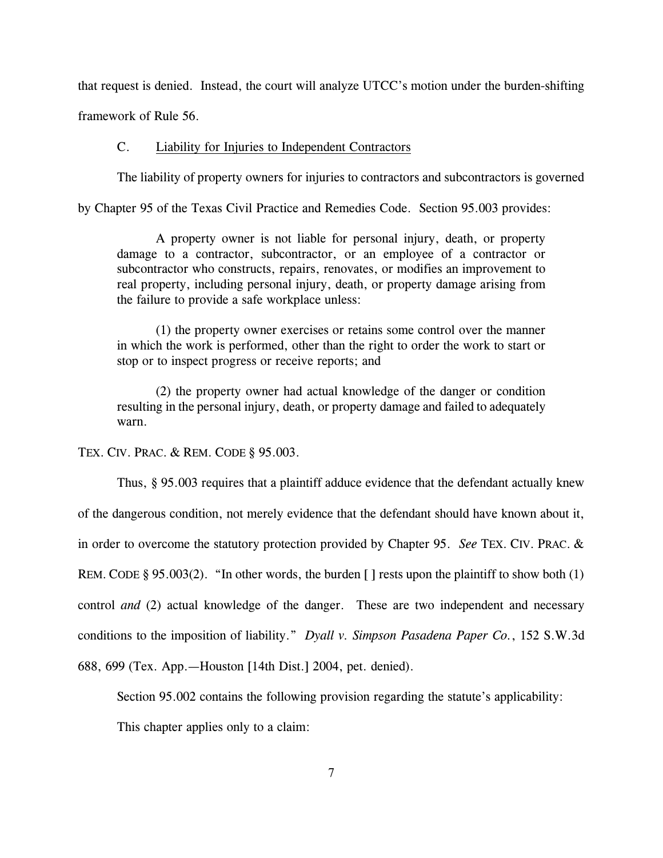that request is denied. Instead, the court will analyze UTCC's motion under the burden-shifting framework of Rule 56.

# C. Liability for Injuries to Independent Contractors

The liability of property owners for injuries to contractors and subcontractors is governed

by Chapter 95 of the Texas Civil Practice and Remedies Code. Section 95.003 provides:

A property owner is not liable for personal injury, death, or property damage to a contractor, subcontractor, or an employee of a contractor or subcontractor who constructs, repairs, renovates, or modifies an improvement to real property, including personal injury, death, or property damage arising from the failure to provide a safe workplace unless:

(1) the property owner exercises or retains some control over the manner in which the work is performed, other than the right to order the work to start or stop or to inspect progress or receive reports; and

(2) the property owner had actual knowledge of the danger or condition resulting in the personal injury, death, or property damage and failed to adequately warn.

TEX. CIV. PRAC. & REM. CODE § 95.003.

Thus, § 95.003 requires that a plaintiff adduce evidence that the defendant actually knew of the dangerous condition, not merely evidence that the defendant should have known about it, in order to overcome the statutory protection provided by Chapter 95. *See* TEX. CIV. PRAC. & REM. CODE § 95.003(2). "In other words, the burden  $\lceil \cdot \rceil$  rests upon the plaintiff to show both (1) control *and* (2) actual knowledge of the danger. These are two independent and necessary conditions to the imposition of liability." *Dyall v. Simpson Pasadena Paper Co.*, 152 S.W.3d 688, 699 (Tex. App.—Houston [14th Dist.] 2004, pet. denied).

Section 95.002 contains the following provision regarding the statute's applicability:

This chapter applies only to a claim: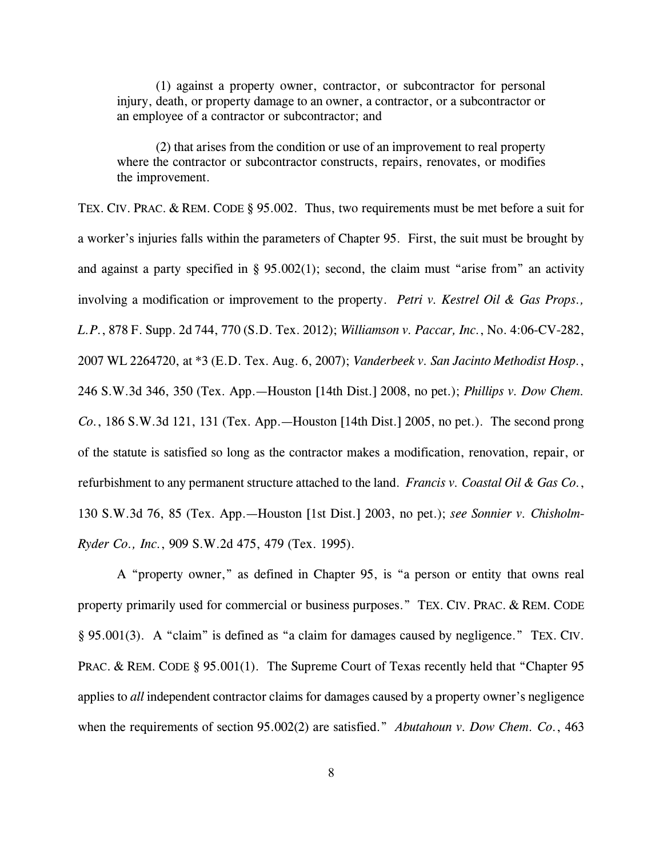(1) against a property owner, contractor, or subcontractor for personal injury, death, or property damage to an owner, a contractor, or a subcontractor or an employee of a contractor or subcontractor; and

(2) that arises from the condition or use of an improvement to real property where the contractor or subcontractor constructs, repairs, renovates, or modifies the improvement.

TEX. CIV. PRAC. & REM. CODE § 95.002. Thus, two requirements must be met before a suit for a worker's injuries falls within the parameters of Chapter 95. First, the suit must be brought by and against a party specified in  $\S$  95.002(1); second, the claim must "arise from" an activity involving a modification or improvement to the property. *Petri v. Kestrel Oil & Gas Props., L.P.*, 878 F. Supp. 2d 744, 770 (S.D. Tex. 2012); *Williamson v. Paccar, Inc.*, No. 4:06-CV-282, 2007 WL 2264720, at \*3 (E.D. Tex. Aug. 6, 2007); *Vanderbeek v. San Jacinto Methodist Hosp.*, 246 S.W.3d 346, 350 (Tex. App.—Houston [14th Dist.] 2008, no pet.); *Phillips v. Dow Chem. Co.*, 186 S.W.3d 121, 131 (Tex. App.—Houston [14th Dist.] 2005, no pet.). The second prong of the statute is satisfied so long as the contractor makes a modification, renovation, repair, or refurbishment to any permanent structure attached to the land. *Francis v. Coastal Oil & Gas Co.*, 130 S.W.3d 76, 85 (Tex. App.—Houston [1st Dist.] 2003, no pet.); *see Sonnier v. Chisholm-Ryder Co., Inc.*, 909 S.W.2d 475, 479 (Tex. 1995).

A "property owner," as defined in Chapter 95, is "a person or entity that owns real property primarily used for commercial or business purposes." TEX. CIV. PRAC. & REM. CODE § 95.001(3). A "claim" is defined as "a claim for damages caused by negligence." TEX. CIV. PRAC. & REM. CODE § 95.001(1). The Supreme Court of Texas recently held that "Chapter 95" applies to *all* independent contractor claims for damages caused by a property owner's negligence when the requirements of section 95.002(2) are satisfied." *Abutahoun v. Dow Chem. Co.*, 463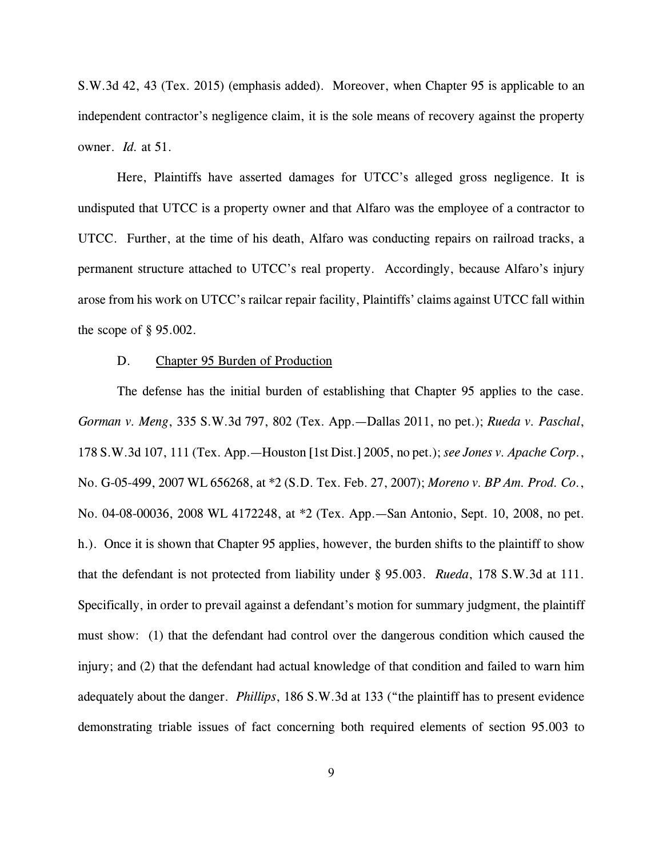S.W.3d 42, 43 (Tex. 2015) (emphasis added). Moreover, when Chapter 95 is applicable to an independent contractor's negligence claim, it is the sole means of recovery against the property owner. *Id.* at 51.

Here, Plaintiffs have asserted damages for UTCC's alleged gross negligence. It is undisputed that UTCC is a property owner and that Alfaro was the employee of a contractor to UTCC. Further, at the time of his death, Alfaro was conducting repairs on railroad tracks, a permanent structure attached to UTCC's real property. Accordingly, because Alfaro's injury arose from his work on UTCC's railcar repair facility, Plaintiffs' claims against UTCC fall within the scope of  $\S$  95.002.

#### D. Chapter 95 Burden of Production

The defense has the initial burden of establishing that Chapter 95 applies to the case. *Gorman v. Meng*, 335 S.W.3d 797, 802 (Tex. App.—Dallas 2011, no pet.); *Rueda v. Paschal*, 178 S.W.3d 107, 111 (Tex. App.—Houston [1st Dist.] 2005, no pet.); *see Jones v. Apache Corp.*, No. G-05-499, 2007 WL 656268, at \*2 (S.D. Tex. Feb. 27, 2007); *Moreno v. BP Am. Prod. Co.*, No. 04-08-00036, 2008 WL 4172248, at \*2 (Tex. App.—San Antonio, Sept. 10, 2008, no pet. h.). Once it is shown that Chapter 95 applies, however, the burden shifts to the plaintiff to show that the defendant is not protected from liability under § 95.003. *Rueda*, 178 S.W.3d at 111. Specifically, in order to prevail against a defendant's motion for summary judgment, the plaintiff must show: (1) that the defendant had control over the dangerous condition which caused the injury; and (2) that the defendant had actual knowledge of that condition and failed to warn him adequately about the danger. *Phillips*, 186 S.W.3d at 133 ("the plaintiff has to present evidence demonstrating triable issues of fact concerning both required elements of section 95.003 to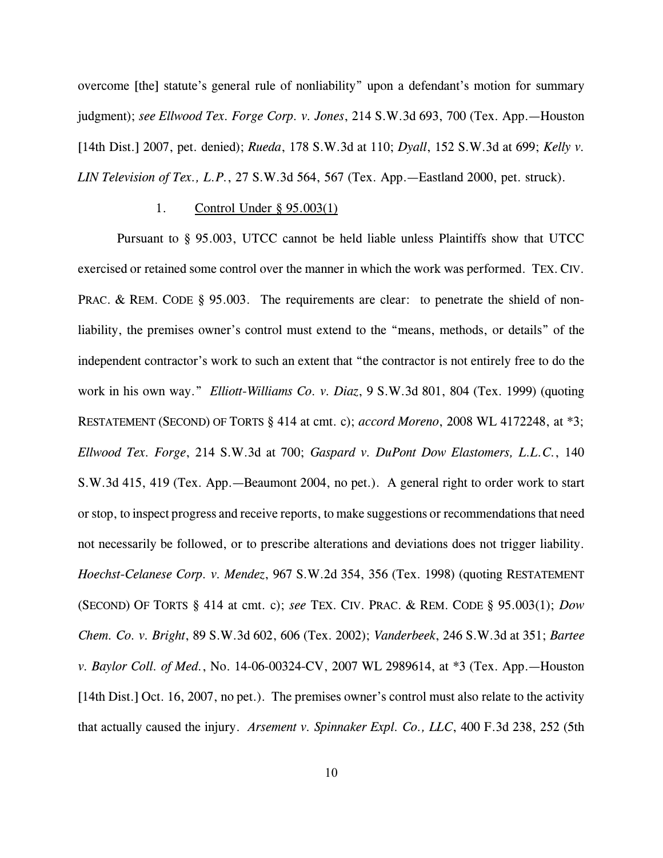overcome [the] statute's general rule of nonliability" upon a defendant's motion for summary judgment); *see Ellwood Tex. Forge Corp. v. Jones*, 214 S.W.3d 693, 700 (Tex. App.—Houston [14th Dist.] 2007, pet. denied); *Rueda*, 178 S.W.3d at 110; *Dyall*, 152 S.W.3d at 699; *Kelly v. LIN Television of Tex., L.P.*, 27 S.W.3d 564, 567 (Tex. App.—Eastland 2000, pet. struck).

#### 1. Control Under § 95.003(1)

Pursuant to § 95.003, UTCC cannot be held liable unless Plaintiffs show that UTCC exercised or retained some control over the manner in which the work was performed. TEX.CIV. PRAC. & REM. CODE § 95.003. The requirements are clear: to penetrate the shield of nonliability, the premises owner's control must extend to the "means, methods, or details" of the independent contractor's work to such an extent that "the contractor is not entirely free to do the work in his own way." *Elliott-Williams Co. v. Diaz*, 9 S.W.3d 801, 804 (Tex. 1999) (quoting RESTATEMENT (SECOND) OF TORTS § 414 at cmt. c); *accord Moreno*, 2008 WL 4172248, at \*3; *Ellwood Tex. Forge*, 214 S.W.3d at 700; *Gaspard v. DuPont Dow Elastomers, L.L.C.*, 140 S.W.3d 415, 419 (Tex. App.—Beaumont 2004, no pet.). A general right to order work to start or stop, to inspect progress and receive reports, to make suggestions or recommendations that need not necessarily be followed, or to prescribe alterations and deviations does not trigger liability. *Hoechst-Celanese Corp. v. Mendez*, 967 S.W.2d 354, 356 (Tex. 1998) (quoting RESTATEMENT (SECOND) OF TORTS § 414 at cmt. c); *see* TEX. CIV. PRAC. & REM. CODE § 95.003(1); *Dow Chem. Co. v. Bright*, 89 S.W.3d 602, 606 (Tex. 2002); *Vanderbeek*, 246 S.W.3d at 351; *Bartee v. Baylor Coll. of Med.*, No. 14-06-00324-CV, 2007 WL 2989614, at \*3 (Tex. App.—Houston [14th Dist.] Oct. 16, 2007, no pet.). The premises owner's control must also relate to the activity that actually caused the injury. *Arsement v. Spinnaker Expl. Co., LLC*, 400 F.3d 238, 252 (5th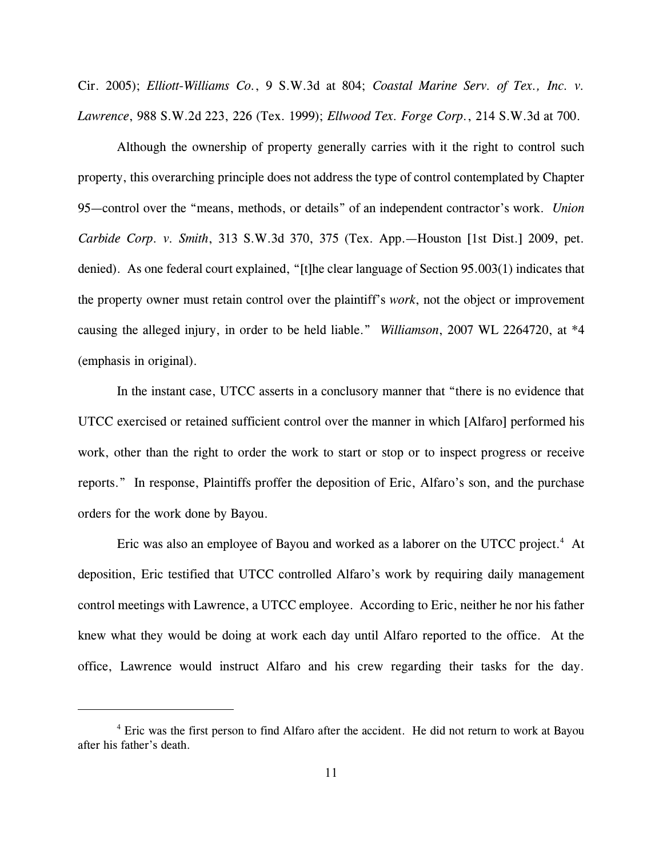Cir. 2005); *Elliott-Williams Co.*, 9 S.W.3d at 804; *Coastal Marine Serv. of Tex., Inc. v. Lawrence*, 988 S.W.2d 223, 226 (Tex. 1999); *Ellwood Tex. Forge Corp.*, 214 S.W.3d at 700.

Although the ownership of property generally carries with it the right to control such property, this overarching principle does not address the type of control contemplated by Chapter 95—control over the "means, methods, or details" of an independent contractor's work. *Union Carbide Corp. v. Smith*, 313 S.W.3d 370, 375 (Tex. App.—Houston [1st Dist.] 2009, pet. denied). As one federal court explained, "[t]he clear language of Section 95.003(1) indicates that the property owner must retain control over the plaintiff's *work*, not the object or improvement causing the alleged injury, in order to be held liable." *Williamson*, 2007 WL 2264720, at \*4 (emphasis in original).

In the instant case, UTCC asserts in a conclusory manner that "there is no evidence that UTCC exercised or retained sufficient control over the manner in which [Alfaro] performed his work, other than the right to order the work to start or stop or to inspect progress or receive reports." In response, Plaintiffs proffer the deposition of Eric, Alfaro's son, and the purchase orders for the work done by Bayou.

Eric was also an employee of Bayou and worked as a laborer on the UTCC project.<sup>4</sup> At deposition, Eric testified that UTCC controlled Alfaro's work by requiring daily management control meetings with Lawrence, a UTCC employee. According to Eric, neither he nor his father knew what they would be doing at work each day until Alfaro reported to the office. At the office, Lawrence would instruct Alfaro and his crew regarding their tasks for the day.

<sup>&</sup>lt;sup>4</sup> Eric was the first person to find Alfaro after the accident. He did not return to work at Bayou after his father's death.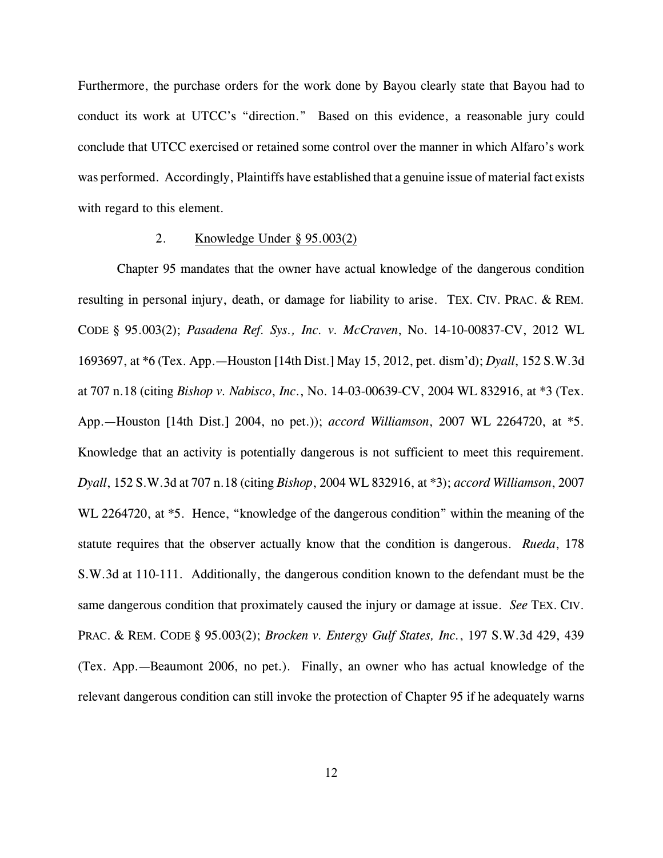Furthermore, the purchase orders for the work done by Bayou clearly state that Bayou had to conduct its work at UTCC's "direction." Based on this evidence, a reasonable jury could conclude that UTCC exercised or retained some control over the manner in which Alfaro's work was performed. Accordingly, Plaintiffs have established that a genuine issue of material fact exists with regard to this element.

# 2. Knowledge Under § 95.003(2)

Chapter 95 mandates that the owner have actual knowledge of the dangerous condition resulting in personal injury, death, or damage for liability to arise. TEX. CIV. PRAC. & REM. CODE § 95.003(2); *Pasadena Ref. Sys., Inc. v. McCraven*, No. 14-10-00837-CV, 2012 WL 1693697, at \*6 (Tex. App.—Houston [14th Dist.] May 15, 2012, pet. dism'd); *Dyall*, 152 S.W.3d at 707 n.18 (citing *Bishop v. Nabisco*, *Inc*., No. 14-03-00639-CV, 2004 WL 832916, at \*3 (Tex. App.—Houston [14th Dist.] 2004, no pet.)); *accord Williamson*, 2007 WL 2264720, at \*5. Knowledge that an activity is potentially dangerous is not sufficient to meet this requirement. *Dyall*, 152 S.W.3d at 707 n.18 (citing *Bishop*, 2004 WL 832916, at \*3); *accord Williamson*, 2007 WL 2264720, at  $*5$ . Hence, "knowledge of the dangerous condition" within the meaning of the statute requires that the observer actually know that the condition is dangerous. *Rueda*, 178 S.W.3d at 110-111. Additionally, the dangerous condition known to the defendant must be the same dangerous condition that proximately caused the injury or damage at issue. *See* TEX. CIV. PRAC. & REM. CODE § 95.003(2); *Brocken v. Entergy Gulf States, Inc.*, 197 S.W.3d 429, 439 (Tex. App.—Beaumont 2006, no pet.). Finally, an owner who has actual knowledge of the relevant dangerous condition can still invoke the protection of Chapter 95 if he adequately warns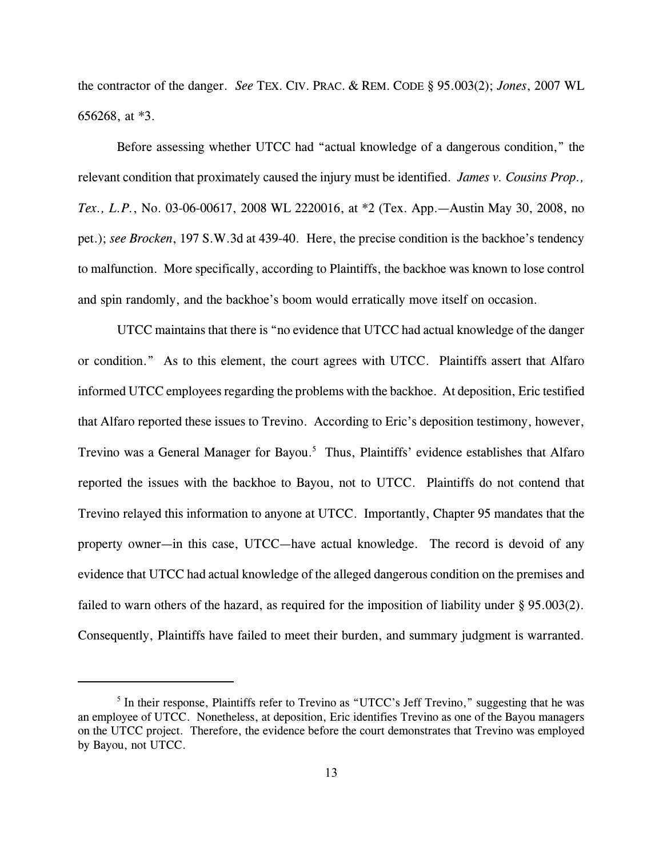the contractor of the danger. *See* TEX. CIV. PRAC. & REM. CODE § 95.003(2); *Jones*, 2007 WL 656268, at \*3.

Before assessing whether UTCC had "actual knowledge of a dangerous condition," the relevant condition that proximately caused the injury must be identified. *James v. Cousins Prop., Tex., L.P.*, No. 03-06-00617, 2008 WL 2220016, at \*2 (Tex. App.—Austin May 30, 2008, no pet.); *see Brocken*, 197 S.W.3d at 439-40. Here, the precise condition is the backhoe's tendency to malfunction. More specifically, according to Plaintiffs, the backhoe was known to lose control and spin randomly, and the backhoe's boom would erratically move itself on occasion.

UTCC maintains that there is "no evidence that UTCC had actual knowledge of the danger or condition." As to this element, the court agrees with UTCC. Plaintiffs assert that Alfaro informed UTCC employees regarding the problems with the backhoe. At deposition, Eric testified that Alfaro reported these issues to Trevino. According to Eric's deposition testimony, however, Trevino was a General Manager for Bayou.<sup>5</sup> Thus, Plaintiffs' evidence establishes that Alfaro reported the issues with the backhoe to Bayou, not to UTCC. Plaintiffs do not contend that Trevino relayed this information to anyone at UTCC. Importantly, Chapter 95 mandates that the property owner—in this case, UTCC—have actual knowledge. The record is devoid of any evidence that UTCC had actual knowledge of the alleged dangerous condition on the premises and failed to warn others of the hazard, as required for the imposition of liability under § 95.003(2). Consequently, Plaintiffs have failed to meet their burden, and summary judgment is warranted.

<sup>&</sup>lt;sup>5</sup> In their response, Plaintiffs refer to Trevino as "UTCC's Jeff Trevino," suggesting that he was an employee of UTCC. Nonetheless, at deposition, Eric identifies Trevino as one of the Bayou managers on the UTCC project. Therefore, the evidence before the court demonstrates that Trevino was employed by Bayou, not UTCC.